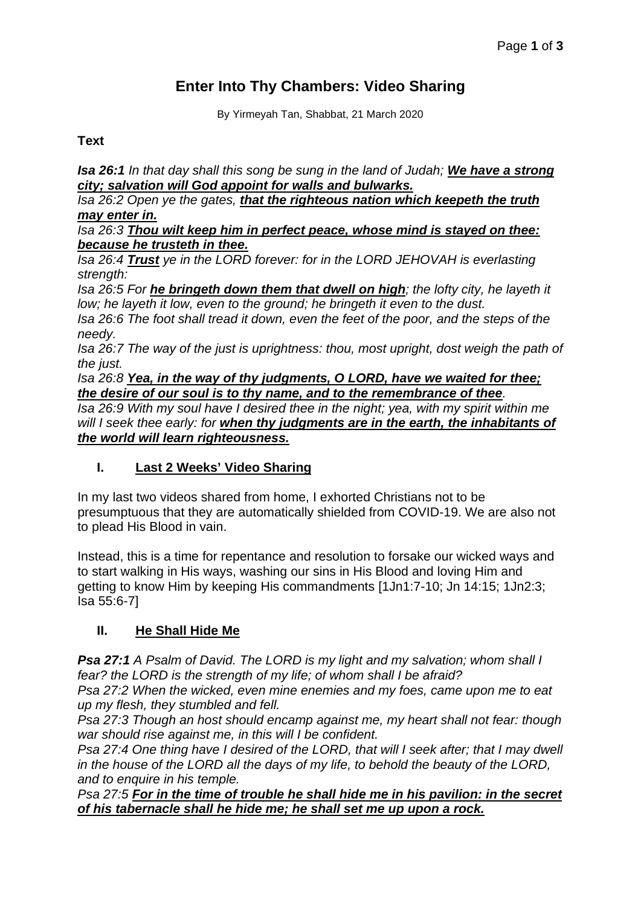# **Enter Into Thy Chambers: Video Sharing**

By Yirmeyah Tan, Shabbat, 21 March 2020

## **Text**

*Isa 26:1 In that day shall this song be sung in the land of Judah; We have a strong city; salvation will God appoint for walls and bulwarks.*

*Isa 26:2 Open ye the gates, that the righteous nation which keepeth the truth may enter in.*

*Isa 26:3 Thou wilt keep him in perfect peace, whose mind is stayed on thee: because he trusteth in thee.*

*Isa 26:4 Trust ye in the LORD forever: for in the LORD JEHOVAH is everlasting strength:*

*Isa 26:5 For he bringeth down them that dwell on high; the lofty city, he layeth it low; he layeth it low, even to the ground; he bringeth it even to the dust.*

*Isa 26:6 The foot shall tread it down, even the feet of the poor, and the steps of the needy.*

*Isa 26:7 The way of the just is uprightness: thou, most upright, dost weigh the path of the just.*

*Isa 26:8 Yea, in the way of thy judgments, O LORD, have we waited for thee; the desire of our soul is to thy name, and to the remembrance of thee. Isa 26:9 With my soul have I desired thee in the night; yea, with my spirit within me will I seek thee early: for when thy judgments are in the earth, the inhabitants of the world will learn righteousness.*

## **I. Last 2 Weeks' Video Sharing**

In my last two videos shared from home, I exhorted Christians not to be presumptuous that they are automatically shielded from COVID-19. We are also not to plead His Blood in vain.

Instead, this is a time for repentance and resolution to forsake our wicked ways and to start walking in His ways, washing our sins in His Blood and loving Him and getting to know Him by keeping His commandments [1Jn1:7-10; Jn 14:15; 1Jn2:3; Isa 55:6-7]

## **II. He Shall Hide Me**

*Psa 27:1 A Psalm of David. The LORD is my light and my salvation; whom shall I fear? the LORD is the strength of my life; of whom shall I be afraid?*

*Psa 27:2 When the wicked, even mine enemies and my foes, came upon me to eat up my flesh, they stumbled and fell.*

*Psa 27:3 Though an host should encamp against me, my heart shall not fear: though war should rise against me, in this will I be confident.*

*Psa 27:4 One thing have I desired of the LORD, that will I seek after; that I may dwell in the house of the LORD all the days of my life, to behold the beauty of the LORD, and to enquire in his temple.*

*Psa 27:5 For in the time of trouble he shall hide me in his pavilion: in the secret of his tabernacle shall he hide me; he shall set me up upon a rock.*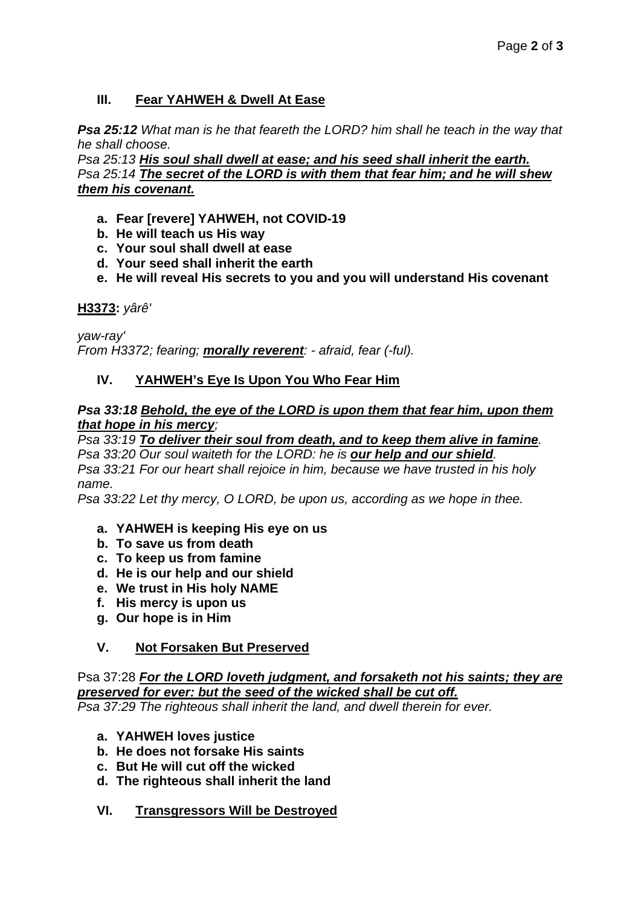## **III. Fear YAHWEH & Dwell At Ease**

*Psa 25:12 What man is he that feareth the LORD? him shall he teach in the way that he shall choose.*

*Psa 25:13 His soul shall dwell at ease; and his seed shall inherit the earth. Psa 25:14 The secret of the LORD is with them that fear him; and he will shew them his covenant.*

- **a. Fear [revere] YAHWEH, not COVID-19**
- **b. He will teach us His way**
- **c. Your soul shall dwell at ease**
- **d. Your seed shall inherit the earth**
- **e. He will reveal His secrets to you and you will understand His covenant**

**H3373:** *yârê'*

*yaw-ray' From H3372; fearing; morally reverent: - afraid, fear (-ful).*

### **IV. YAHWEH's Eye Is Upon You Who Fear Him**

#### *Psa 33:18 Behold, the eye of the LORD is upon them that fear him, upon them that hope in his mercy;*

*Psa 33:19 To deliver their soul from death, and to keep them alive in famine. Psa 33:20 Our soul waiteth for the LORD: he is our help and our shield.*

*Psa 33:21 For our heart shall rejoice in him, because we have trusted in his holy name.*

*Psa 33:22 Let thy mercy, O LORD, be upon us, according as we hope in thee.*

- **a. YAHWEH is keeping His eye on us**
- **b. To save us from death**
- **c. To keep us from famine**
- **d. He is our help and our shield**
- **e. We trust in His holy NAME**
- **f. His mercy is upon us**
- **g. Our hope is in Him**

#### **V. Not Forsaken But Preserved**

Psa 37:28 *For the LORD loveth judgment, and forsaketh not his saints; they are preserved for ever: but the seed of the wicked shall be cut off. Psa 37:29 The righteous shall inherit the land, and dwell therein for ever.*

- **a. YAHWEH loves justice**
- **b. He does not forsake His saints**
- **c. But He will cut off the wicked**
- **d. The righteous shall inherit the land**
- **VI. Transgressors Will be Destroyed**